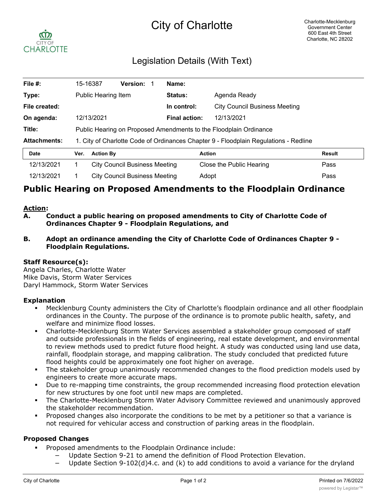# City of Charlotte



## Legislation Details (With Text)

| File #:             |                                                                                      | 15-16387                                                          | <b>Version:</b> |  | Name:         |                                      |               |  |
|---------------------|--------------------------------------------------------------------------------------|-------------------------------------------------------------------|-----------------|--|---------------|--------------------------------------|---------------|--|
| Type:               |                                                                                      | Public Hearing Item                                               |                 |  | Status:       | Agenda Ready                         |               |  |
| File created:       |                                                                                      |                                                                   |                 |  | In control:   | <b>City Council Business Meeting</b> |               |  |
| On agenda:          |                                                                                      | 12/13/2021                                                        |                 |  | Final action: | 12/13/2021                           |               |  |
| Title:              |                                                                                      | Public Hearing on Proposed Amendments to the Floodplain Ordinance |                 |  |               |                                      |               |  |
| <b>Attachments:</b> | 1. City of Charlotte Code of Ordinances Chapter 9 - Floodplain Regulations - Redline |                                                                   |                 |  |               |                                      |               |  |
| <b>Date</b>         | Ver.                                                                                 | <b>Action By</b>                                                  |                 |  |               | <b>Action</b>                        | <b>Result</b> |  |
| 12/13/2021          |                                                                                      | <b>City Council Business Meeting</b>                              |                 |  |               | Close the Public Hearing             | Pass          |  |
| 12/13/2021          |                                                                                      | <b>City Council Business Meeting</b>                              |                 |  |               | Adopt                                | Pass          |  |

### **Public Hearing on Proposed Amendments to the Floodplain Ordinance**

#### **Action:**

- **A. Conduct a public hearing on proposed amendments to City of Charlotte Code of Ordinances Chapter 9 - Floodplain Regulations, and**
- **B. Adopt an ordinance amending the City of Charlotte Code of Ordinances Chapter 9 - Floodplain Regulations.**

#### **Staff Resource(s):**

Angela Charles, Charlotte Water Mike Davis, Storm Water Services Daryl Hammock, Storm Water Services

#### **Explanation**

- § Mecklenburg County administers the City of Charlotte's floodplain ordinance and all other floodplain ordinances in the County. The purpose of the ordinance is to promote public health, safety, and welfare and minimize flood losses.
- § Charlotte-Mecklenburg Storm Water Services assembled a stakeholder group composed of staff and outside professionals in the fields of engineering, real estate development, and environmental to review methods used to predict future flood height. A study was conducted using land use data, rainfall, floodplain storage, and mapping calibration. The study concluded that predicted future flood heights could be approximately one foot higher on average.
- The stakeholder group unanimously recommended changes to the flood prediction models used by engineers to create more accurate maps.
- § Due to re-mapping time constraints, the group recommended increasing flood protection elevation for new structures by one foot until new maps are completed.
- The Charlotte-Mecklenburg Storm Water Advisory Committee reviewed and unanimously approved the stakeholder recommendation.
- § Proposed changes also incorporate the conditions to be met by a petitioner so that a variance is not required for vehicular access and construction of parking areas in the floodplain.

#### **Proposed Changes**

- § Proposed amendments to the Floodplain Ordinance include:
	- Update Section 9-21 to amend the definition of Flood Protection Elevation.
	- Update Section 9-102(d)4.c. and (k) to add conditions to avoid a variance for the dryland